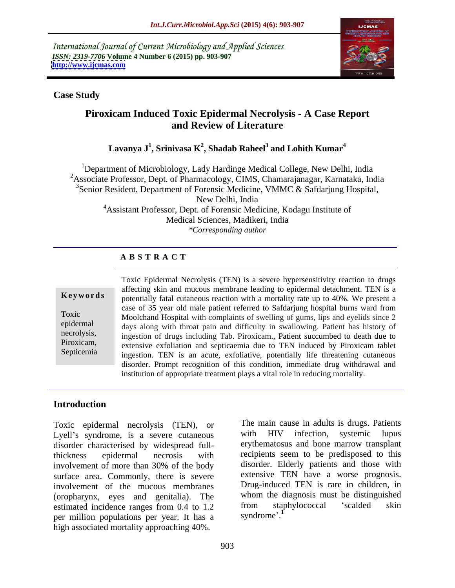International Journal of Current Microbiology and Applied Sciences *ISSN: 2319-7706* **Volume 4 Number 6 (2015) pp. 903-907 <http://www.ijcmas.com>**



### **Case Study**

# **Piroxicam Induced Toxic Epidermal Necrolysis - A Case Report and Review of Literature**

### $\mathbf{L}$ avanya J $^1$ , Srinivasa  $\mathbf{K}^2$ , Shadab Raheel $^3$  and  $\mathbf{L}$ ohith  $\mathbf{K}$ umar $^4$ **and Lohith Kumar<sup>4</sup>**

<sup>1</sup>Department of Microbiology, Lady Hardinge Medical College, New Delhi, India <sup>2</sup>Associate Professor, Dept. of Pharmacology, CIMS, Chamarajanagar, Karnataka, India <sup>3</sup>Senior Resident, Department of Forensic Medicine, VMMC & Safdarjung Hospital, New Delhi, India <sup>4</sup>Assistant Professor, Dept. of Forensic Medicine, Kodagu Institute of Medical Sciences, Madikeri, India *\*Corresponding author*

# **A B S T R A C T**

Septicemia

Toxic Epidermal Necrolysis (TEN) is a severe hypersensitivity reaction to drugs affecting skin and mucous membrane leading to epidermal detachment. TEN is a potentially fatal cutaneous reaction with a mortality rate up to 40%. We present a case of 35 year old male patient referred to Safdarjung hospital burns ward from Noolchand Hospital with complaints of swelling of gums, lips and eyelids since 2 epidermal days along with throat pain and difficulty in swallowing. Patient has history of necrolysis, ingestion of drugs including Tab. Piroxicam., Patient succumbed to death due to Piroxicam,<br>
extensive exfoliation and septicaemia due to TEN induced by Piroxicam tablet ingestion. TEN is an acute, exfoliative, potentially life threatening cutaneous disorder. Prompt recognition of this condition, immediate drug withdrawal and **instead is a vital relation** of appropriate treatment plays a vital role in reducing mortality.<br>Toxic and case of 35 year old male patient referred to Safdarjung hospital burns ward from<br>Toxic Moolchand Hospital with comp

# **Introduction**

Toxic epidermal necrolysis (TEN), or The main cause in adults is drugs. Patients<br>
Lyell's syndrome is a severe cutaneous with HIV infection, systemic lupus Lyell's syndrome, is a severe cutaneous with disorder characterised by widespread fullthickness epidermal necrosis with recipients seem to be predisposed to this involvement of more than 30% of the body disorder. Elderly patients and those with surface area. Commonly, there is severe involvement of the mucous membranes (oropharynx, eyes and genitalia). The whom the diagnosis must be distinguished estimated incidence ranges from  $0.4$  to  $1.2$  from staphylococcal 'scalded skin estimated incidence ranges from  $0.4$  to  $1.2$  from stage of methods in the set of the set of  $\frac{1}{2}$  from  $\frac{1}{2}$  from  $\frac{1}{2}$  from  $\frac{1}{2}$  from  $\frac{1}{2}$  from  $\frac{1}{2}$  from  $\frac{1}{2}$  from  $\frac{1}{2}$  from  $\frac{1}{2$ per million populations per year. It has a high associated mortality approaching 40%.

The main cause in adults is drugs. Patients with HIV infection, systemic lupus erythematosus and bone marrow transplant disorder. Elderly patients and those with extensive TEN have a worse prognosis. Drug-induced TEN is rare in children, in whom the diagnosis must be distinguished from staphylococcal 'scalded skin syndrome<sup>'</sup>.<sup>1</sup>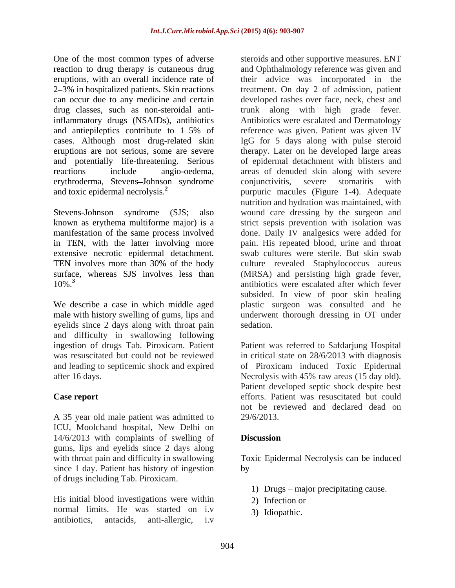One of the most common types of adverse erythroderma, Stevens-Johnson syndrome conjunctivitis, severe stomatitis with

in TEN, with the latter involving more extensive necrotic epidermal detachment.

eyelids since 2 days along with throat pain sedation. and difficulty in swallowing following

A 35 year old male patient was admitted to 29/6/2013. ICU, Moolchand hospital, New Delhi on 14/6/2013 with complaints of swelling of **Discussion** gums, lips and eyelids since 2 days along since 1 day. Patient has history of ingestion by of drugs including Tab. Piroxicam.

His initial blood investigations were within 2) Infection or normal limits. He was started on i.v antibiotics, antacids, anti-allergic, i.v

reaction to drug therapy is cutaneous drug and Ophthalmology reference was given and eruptions, with an overall incidence rate of their advice was incorporated in the 2 3% in hospitalized patients. Skin reactions treatment. On day 2 of admission, patient can occur due to any medicine and certain developed rashes over face, neck, chest and drug classes, such as non-steroidal anti-trunk along with high grade fever. inflammatory drugs (NSAIDs), antibiotics Antibiotics were escalated and Dermatology and antiepileptics contribute to 1–5% of reference was given. Patient was given IV cases. Although most drug-related skin IgG for 5 days along with pulse steroid eruptions are not serious, some are severe therapy. Later on he developed large areas and potentially life-threatening. Serious of epidermal detachment with blisters and reactions include angio-oedema, areas of denuded skin along with severe and toxic epidermal necrolysis.**<sup>2</sup>** purpuric macules (Figure 1-4). Adequate Stevens-Johnson syndrome (SJS; also wound care dressing by the surgeon and known as erythema multiforme major) is a strict sepsis prevention with isolation was manifestation of the same process involved done. Daily IV analgesics were added for TEN involves more than 30% of the body culture revealed Staphylococcus aureus surface, whereas SJS involves less than (MRSA) and persisting high grade fever, 10%.**<sup>3</sup>** antibiotics were escalated after which fever We describe a case in which middle aged plastic surgeon was consulted and he male with history swelling of gums, lips and underwent thorough dressing in OT under steroids and other supportive measures. ENT conjunctivitis, severe stomatitis with nutrition and hydration was maintained, with pain. His repeated blood, urine and throat swab cultures were sterile. But skin swab subsided. In view of poor skin healing sedation.

ingestion of drugs Tab. Piroxicam. Patient Patient was referred to Safdarjung Hospital was resuscitated but could not be reviewed in critical state on 28/6/2013 with diagnosis and leading to septicemic shock and expired of Piroxicam induced Toxic Epidermal after 16 days. Necrolysis with 45% raw areas (15 day old). **Case report** efforts. Patient was resuscitated but could Patient developed septic shock despite best not be reviewed and declared dead on 29/6/2013.

## **Discussion**

with throat pain and difficulty in swallowing Toxic Epidermal Necrolysis can be induced by the contract of the contract of the contract of the contract of the contract of the contract of the contract of the contract of the contract of the contract of the contract of the contract of the contract of the contrac

- 1) Drugs  $-$  major precipitating cause.
- 2) Infection or
- 3) Idiopathic.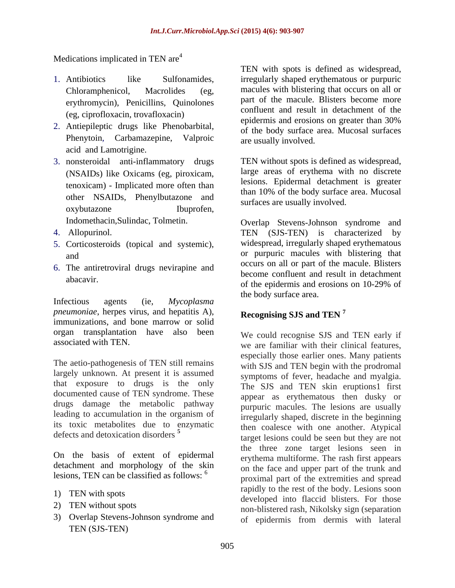Medications implicated in TEN are<sup>4</sup>

- erythromycin), Penicillins, Quinolones
- 2. Antiepileptic drugs like Phenobarbital, Phenytoin, Carbamazepine, Valproic acid and Lamotrigine.
- 3. nonsteroidal anti-inflammatory drugs (NSAIDs) like Oxicams (eg, piroxicam, tenoxicam) - Implicated more often than other NSAIDs, Phenylbutazone and oxybutazone Ibuprofen, but all the collar processes.
- 
- 5. Corticosteroids (topical and systemic),
- 6. The antiretroviral drugs nevirapine and

Infectious agents (ie, *Mycoplasma pneumoniae*, herpes virus, and hepatitis A), immunizations, and bone marrow or solid organ transplantation have also been

The aetio-pathogenesis of TEN still remains largely unknown. At present it is assumed that exposure to drugs is the only documented cause of TEN syndrome. These drugs damage the metabolic pathway leading to accumulation in the organism of its toxic metabolites due to enzymatic

On the basis of extent of epidermal detachment and morphology of the skin lesions, TEN can be classified as follows: <sup>6</sup>

- 
- 
- 3) Overlap Stevens-Johnson syndrome and TEN (SJS-TEN)

1. Antibiotics like Sulfonamides, irregularly shaped erythematous or purpuric Chloramphenicol, Macrolides (eg, macules with blistering that occurs on all or (eg, ciprofloxacin, trovafloxacin) epidermis and result in detachment of the epidermis and erosions on greater than 30% TEN with spots is defined as widespread, part of the macule. Blisters become more confluent and result in detachment of the epidermis and erosions on greater than 30% of the body surface area. Mucosal surfaces are usually involved.

> TEN without spots is defined as widespread, large areas of erythema with no discrete lesions. Epidermal detachment is greater than 10% of the body surface area. Mucosal surfaces are usually involved.

Indomethacin,Sulindac, Tolmetin. Overlap Stevens-Johnson syndrome and 4. Allopurinol. TEN (SJS-TEN) is characterized by and or purpuric macules with blistering that abacavir. of the epidermis and erosions on 10-29% of widespread, irregularly shaped erythematous occurs on all or part of the macule. Blisters become confluent and result in detachment the body surface area.

### **Recognising SJS and TEN <sup>7</sup>**

associated with TEN.<br>we are familiar with their clinical features, defects and detoxication disorders **<sup>5</sup>** target lesions could be seen but they are not 1) TEN with spots<br>developed into flaccid blisters. For those 2) TEN without spots<br>non-blistered rash, Nikolsky sign (separation We could recognise SJS and TEN early if especially those earlier ones. Many patients with SJS and TEN begin with the prodromal symptoms of fever, headache and myalgia. The SJS and TEN skin eruptions1 first appear as erythematous then dusky or purpuric macules. The lesions are usually irregularly shaped, discrete in the beginning then coalesce with one another. Atypical the three zone target lesions seen in erythema multiforme. The rash first appears on the face and upper part of the trunk and proximal part of the extremities and spread rapidly to the rest of the body. Lesions soon of epidermis from dermis with lateral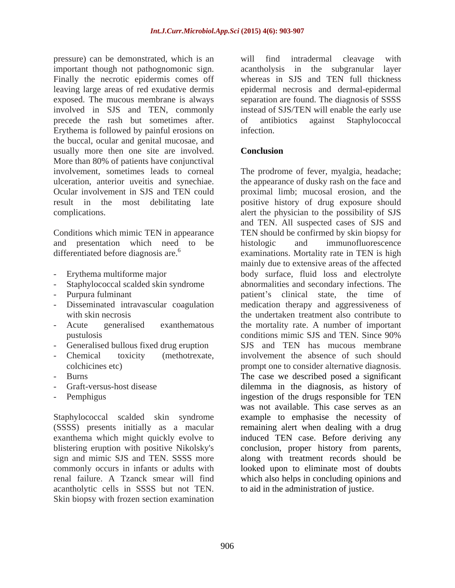pressure) can be demonstrated, which is an important though not pathognomonic sign. acantholysis in the subgranular layer Finally the necrotic epidermis comes off leaving large areas of red exudative dermis epidermal necrosis and dermal-epidermal exposed. The mucous membrane is always separation are found. The diagnosis of SSSS involved in SJS and TEN, commonly precede the rash but sometimes after. of antibiotics against Staphylococcal Erythema is followed by painful erosions on the buccal, ocular and genital mucosae, and usually more then one site are involved. Conclusion More than 80% of patients have conjunctival

and presentation which need to be histologic and immunofluorescence

- 
- 
- 
- 
- 
- 
- 
- 
- 
- 

Staphylococcal scalded skin syndrome sign and mimic SJS and TEN. SSSS more acantholytic cells in SSSS but not TEN. Skin biopsy with frozen section examination will find intradermal cleavage with whereas in SJS and TEN full thickness instead of SJS/TEN will enable the early use of antibiotics against Staphylococcal infection.

### **Conclusion**

involvement, sometimes leads to corneal The prodrome of fever, myalgia, headache; ulceration, anterior uveitis and synechiae. the appearance of dusky rash on the face and Ocular involvement in SJS and TEN could proximal limb; mucosal erosion, and the result in the most debilitating late positive history of drug exposure should complications. alert the physician to the possibility of SJS Conditions which mimic TEN in appearance TEN should be confirmed by skin biopsy for differentiated before diagnosis are.<sup>6</sup> examinations. Mortality rate in TEN is high - Erythema multiforme major body surface, fluid loss and electrolyte - Staphylococcal scalded skin syndrome abnormalities and secondary infections. The - Purpura fulminant and patient services of patient services clinical state, the time of - Disseminated intravascular coagulation medication therapy and aggressiveness of with skin necrosis the undertaken treatment also contribute to - Acute generalised exanthematous the mortality rate. A number of important pustulosis conditions mimic SJS and TEN. Since 90% - Generalised bullous fixed drug eruption SJS and TEN has mucous membrane - Chemical toxicity (methotrexate, involvement the absence of such should colchicines etc) prompt one to consider alternative diagnosis. - Burns The case we described posed a significant - Graft-versus-host disease dilemma in the diagnosis, as history of - Pemphigus ingestion of the drugs responsible for TEN (SSSS) presents initially as a macular remaining alert when dealing with a drug exanthema which might quickly evolve to induced TEN case. Before deriving any blistering eruption with positive Nikolsky's conclusion, proper history from parents, commonly occurs in infants or adults with looked upon to eliminate most of doubts renal failure. A Tzanck smear will find which also helps in concluding opinions and and TEN. All suspected cases of SJS and histologic and immunofluorescence mainly due to extensive areas of the affected conditions mimic SJS and TEN. Since 90% was not available. This case serves as an example to emphasise the necessity of along with treatment records should be to aid in the administration of justice.